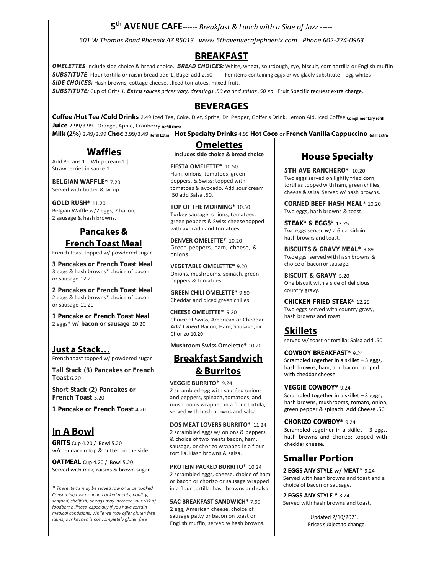**5th AVENUE CAFE***‐‐‐‐‐‐ Breakfast & Lunch with a Side of Jazz ‐‐‐‐‐*

*501 W Thomas Road Phoenix AZ 85013 www.5thavenuecafephoenix.com Phone 602‐274‐0963* 

### **BREAKFAST**

**OMELETTES** include side choice & bread choice. **BREAD CHOICES:** White, wheat, sourdough, rye, biscuit, corn tortilla or English muffin **SUBSTITUTE**: Flour tortilla or raisin bread add 1, Bagel add 2.50 For items containing eggs or we gladly substitute – egg whites **SIDE CHOICES:** Hash browns, cottage cheese, sliced tomatoes, mixed fruit.

**SUBSTITUTE:** Cup of Grits *1.* **Extra** *sauces prices vary, dressings .50 ea and salsas .50 ea* Fruit Specific request extra charge.

### **BEVERAGES**

**Coffee /Hot Tea /Cold Drinks** 2.49 Iced Tea, Coke, Diet, Sprite, Dr. Pepper, Golfer's Drink, Lemon Aid, Iced Coffee **Complimentary refill Juice** 2.99/3.99 Orange, Apple, Cranberry **Refill Extra**

**Milk (2%)** 2.49/2.99 **Choc** 2.99/3.49 **Refill Extra Hot Specialty Drinks** 4.95 **Hot Coco** or **French Vanilla CappuccinoRefill Extra**

## **Waffles**

Add Pecans 1 | Whip cream 1 | Strawberries in sauce 1

**BELGIAN WAFFLE\*** 7.20 Served with butter & syrup

**GOLD RUSH\*** 11.20 Belgian Waffle w/2 eggs, 2 bacon, 2 sausage & hash browns.

### **Pancakes & French Toast Meal**

French toast topped w/ powdered sugar

**3 Pancakes or French Toast Meal** 3 eggs & hash browns\* choice of bacon or sausage 12.20

**2 Pancakes or French Toast Meal** 2 eggs & hash browns\* choice of bacon or sausage 11.20

**1 Pancake or French Toast Meal**  2 eggs\* **w/ bacon or sausage** 10.20

### **Just a Stack…**

French toast topped w/ powdered sugar

**Tall Stack (3) Pancakes or French Toast** 6.20

**Short Stack (2) Pancakes or French Toast** 5.20

**1 Pancake or French Toast** 4.20

## **In A Bowl**

**GRITS** Cup 4.20 / Bowl 5.20 w/cheddar on top & butter on the side

**OATMEAL** Cup 4.20 / Bowl 5.20 Served with milk, raisins & brown sugar \_\_\_\_\_\_\_\_\_\_\_\_\_\_\_\_\_\_\_\_\_\_\_\_\_\_\_\_\_\_\_\_\_\_

*\* These items may be served raw or undercooked. Consuming raw or undercooked meats, poultry, seafood, shellfish, or eggs may increase your risk of foodborne illness, especially if you have certain medical conditions. While we may offer gluten free items, our kitchen is not completely gluten free* 

# **Omelettes**

**Includes side choice & bread choice** 

**FIESTA OMELETTE\*** 10.50 Ham, onions, tomatoes, green peppers, & Swiss; topped with tomatoes & avocado. Add sour cream .50 add Salsa .50.

**TOP OF THE MORNING\*** 10.50 Turkey sausage, onions, tomatoes, green peppers & Swiss cheese topped with avocado and tomatoes.

**DENVER OMELETTE\*** 10.20 Green peppers, ham, cheese, & onions.

**VEGETABLE OMELETTE\*** 9.20 Onions, mushrooms, spinach, green peppers & tomatoes.

**GREEN CHILI OMELETTE**\* 9.50 Cheddar and diced green chilies.

**CHEESE OMELETTE\*** 9.20 Choice of Swiss, American or Cheddar *Add 1 meat* Bacon, Ham, Sausage, or Chorizo 10.20

**Mushroom Swiss Omelette\*** 10.20

## **Breakfast Sandwich & Burritos**

**VEGGIE BURRITO\*** 9.24

2 scrambled egg with sautéed onions and peppers, spinach, tomatoes, and mushrooms wrapped in a flour tortilla; served with hash browns and salsa.

#### **DOS MEAT LOVERS BURRITO\*** 11.24

2 scrambled eggs w/ onions & peppers & choice of two meats bacon, ham, sausage, or chorizo wrapped in a flour tortilla. Hash browns & salsa.

**PROTEIN PACKED BURRITO\*** 10.24 2 scrambled eggs, cheese, choice of ham or bacon or chorizo or sausage wrapped in a flour tortilla: hash browns and salsa

**5AC BREAKFAST SANDWICH\*** 7.99 2 egg, American cheese, choice of sausage patty or bacon on toast or English muffin, served w hash browns.

## **House Specialty**

**5TH AVE RANCHERO\*** 10.20 Two eggs served on lightly fried corn tortillas topped with ham, green chilies, cheese & salsa. Served w/ hash browns.

**CORNED BEEF HASH MEAL**\* 10.20 Two eggs, hash browns & toast.

**STEAK\* & EGGS\*** 13.25 Two eggs served w/ a 6 oz. sirloin, hash browns and toast.

**BISCUITS & GRAVY MEAL\*** 9.89 Two eggs served with hash browns & choice of bacon or sausage.

**BISCUIT & GRAVY** 5.20 One biscuit with a side of delicious country gravy.

**CHICKEN FRIED STEAK\*** 12.25 Two eggs served with country gravy, hash browns and toast.

### **Skillets**

served w/ toast or tortilla; Salsa add .50

**COWBOY BREAKFAST\*** 9.24 Scrambled together in a skillet – 3 eggs, hash browns, ham, and bacon, topped with cheddar cheese.

#### **VEGGIE COWBOY\*** 9.24

Scrambled together in a skillet – 3 eggs, hash browns, mushrooms, tomato, onion, green pepper & spinach. Add Cheese .50

**CHORIZO COWBOY\*** 9.24 Scrambled together in a skillet  $-3$  eggs, hash browns and chorizo; topped with cheddar cheese.

## **Smaller Portion**

**2 EGGS ANY STYLE w/ MEAT\*** 9.24 Served with hash browns and toast and a choice of bacon or sausage.

**2 EGGS ANY STYLE \*** 8.24 Served with hash browns and toast.

> Updated 2/10/2021. Prices subject to change.